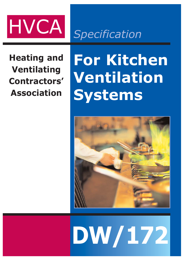

*Specification*

**Heating and Ventilating Contractors' Association**

# **For Kitchen Ventilation Systems**



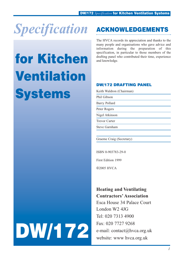

# for Kitchen Ventilation **Systems**

# ACKNOWLEDGEMENTS

The HVCA records its appreciation and thanks to the many people and organisations who gave advice and information during the preparation of this specification, in particular to those members of the drafting panel who contributed their time, experience and knowledge.

## DW/172 DRAFTING PANEL

Keith Waldron (Chairman)

Phil Gibson

Barry Pollard

Peter Rogers

Nigel Atkinson

Trevor Carter

Steve Garnham

Graeme Craig (Secretary)

ISBN 0-903783-29-0

First Edition 1999

2005 HVCA

# **Heating and Ventilating Contractors' Association**

Esca House 34 Palace Court London W2 4JG Tel: 020 7313 4900 Fax: 020 7727 9268 e-mail: contact@hvca.org.uk website: www hvca.org.uk

# DW/172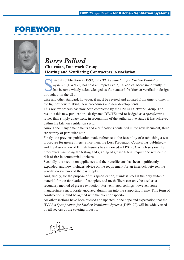# FOREWORD



# $Barry$  *Pollard* **Chairman, Ductwork Group Heating and Ventilating Contractors' Association**

Systems (DW/171) has sold an impressive 2,300 copies. More important has become widely acknowledged as *the* standard for kitchen ventilation *Systems* (DW/171) has sold an impressive 2,300 copies. More importantly, it has become widely acknowledged as *the* standard for kitchen ventilation design throughout in the UK.

Like any other standard, however, it must be revised and updated from time to time, in the light of new thinking, new procedures and new developments.

This review process has now been completed by the HVCA Ductwork Group. The result is this new publication– designated DW/172 and re-badged as a *specification* rather than simply a *standard*, in recognition of the authoritative status it has achieved within the kitchen ventilation sector.

Among the many amendments and clarifications contained in the new document, three are worthy of particular note.

Firstly, the previous publication made reference to the feasibility of establishing a test procedure for grease filters. Since then, the Loss Prevention Council has published – and the Association of British Insurers has endorsed – LPS1263, which sets out the procedures, including the testing and grading of grease filters, required to reduce the risk of fire in commercial kitchens.

Secondly, the section on appliances and their coefficients has been significantly expanded, and now includes advice on the requirement for an interlock between the ventilation system and the gas supply.

And, finally, for the purpose of this specification, stainless steel is the only suitable material for the fabrication of canopies, and mesh filters can only be used as a secondary method of grease extraction. For ventilated ceilings, however, some manufacturers incorporate anodized aluminium into the supporting frame. This form of construction should be agreed with the client or specifier.

All other sections have been revised and updated in the hope and expectation that the HVCA's *Specification for Kitchen Ventilation Systems* (DW/172) will be widely used by all sectors of the catering industry.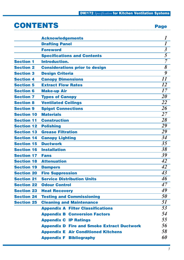# CONTENTS Page 22 Page 22 Page 22 Page 22 Page 22 Page 22 Page 22 Page 22 Page 22 Page 22 Page 22 Page 22 Page 22 Page 22 Page 22 Page 22 Page 22 Page 22 Page 22 Page 22 Page 22 Page 22 Page 22 Page 22 Page 22 Page 22 Page

| w | u, |
|---|----|

|                   | <b>Acknowledgements</b>                           |                      |
|-------------------|---------------------------------------------------|----------------------|
|                   | <b>Drafting Panel</b>                             | $\boldsymbol{l}$     |
|                   | <b>Foreword</b>                                   | $\boldsymbol{\beta}$ |
|                   | <b>Specifications and Contents</b>                | 5                    |
| <b>Section 1</b>  | <b>Introduction.</b>                              | $\overline{7}$       |
| <b>Section 2</b>  | <b>Considerations prior to design</b>             | 8                    |
| <b>Section 3</b>  | <b>Design Criteria</b>                            | 9                    |
| <b>Section 4</b>  | <b>Canopy Dimensions</b>                          | 11                   |
| <b>Section 5</b>  | <b>Extract Flow Rates</b>                         | 12                   |
| <b>Section 6</b>  | <b>Make-up Air</b>                                | 17                   |
| <b>Section 7</b>  | <b>Types of Canopy</b>                            | 20                   |
| <b>Section 8</b>  | <b>Ventilated Ceilings</b>                        |                      |
| <b>Section 9</b>  | <b>Spigot Connections</b>                         | 26                   |
| <b>Section 10</b> | <b>Materials</b>                                  | 27                   |
| <b>Section 11</b> | <b>Construction</b>                               | 28                   |
| <b>Section 12</b> | <b>Polishing</b>                                  | 29                   |
| <b>Section 13</b> | <b>Grease Filtration</b>                          | 29                   |
| <b>Section 14</b> | <b>Canopy Lighting</b>                            |                      |
| <b>Section 15</b> | <b>Ductwork</b>                                   | 35                   |
| <b>Section 16</b> | <b>Installation</b>                               | 38                   |
| <b>Section 17</b> | <b>Fans</b>                                       | 39                   |
| <b>Section 18</b> | <b>Attenuation</b>                                | 42                   |
| <b>Section 19</b> | <b>Dampers</b>                                    | 42                   |
| <b>Section 20</b> | <b>Fire Suppression</b>                           | 43                   |
| <b>Section 21</b> | <b>Service Distribution Units</b>                 | 46                   |
| <b>Section 22</b> | <b>Odour Control</b>                              | 47                   |
| <b>Section 23</b> | <b>Heat Recovery</b>                              | 49                   |
| <b>Section 24</b> | <b>Testing and Commissioning</b>                  | 50                   |
| <b>Section 25</b> | <b>Cleaning and Maintenance</b>                   | 51                   |
|                   | <b>Appendix A Filter Classifications</b>          | 53                   |
|                   | <b>Appendix B Conversion Factors</b>              | 54                   |
|                   | <b>Appendix C IP Ratings</b>                      | 55                   |
|                   | <b>Appendix D Fire and Smoke Extract Ductwork</b> | 56                   |
|                   | <b>Appendix E Air Conditioned Kitchens</b>        | 58                   |
|                   | <b>Appendix F Bibliography</b>                    | 60                   |